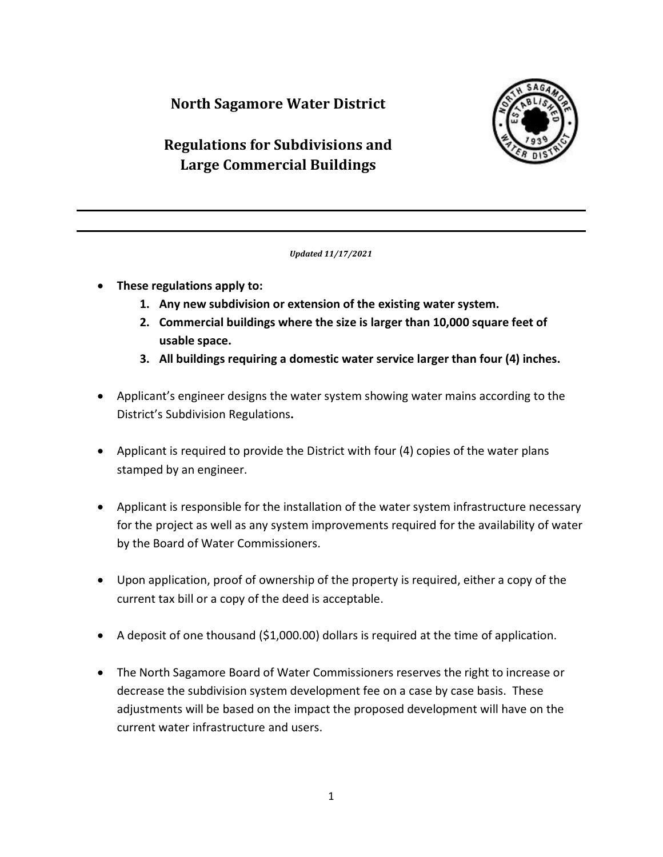## **North Sagamore Water District**



# **Regulations for Subdivisions and Large Commercial Buildings**

*Updated 11/17/2021*

- **These regulations apply to:**
	- **1. Any new subdivision or extension of the existing water system.**
	- **2. Commercial buildings where the size is larger than 10,000 square feet of usable space.**
	- **3. All buildings requiring a domestic water service larger than four (4) inches.**
- Applicant's engineer designs the water system showing water mains according to the District's Subdivision Regulations**.**
- Applicant is required to provide the District with four (4) copies of the water plans stamped by an engineer.
- Applicant is responsible for the installation of the water system infrastructure necessary for the project as well as any system improvements required for the availability of water by the Board of Water Commissioners.
- Upon application, proof of ownership of the property is required, either a copy of the current tax bill or a copy of the deed is acceptable.
- A deposit of one thousand (\$1,000.00) dollars is required at the time of application.
- The North Sagamore Board of Water Commissioners reserves the right to increase or decrease the subdivision system development fee on a case by case basis. These adjustments will be based on the impact the proposed development will have on the current water infrastructure and users.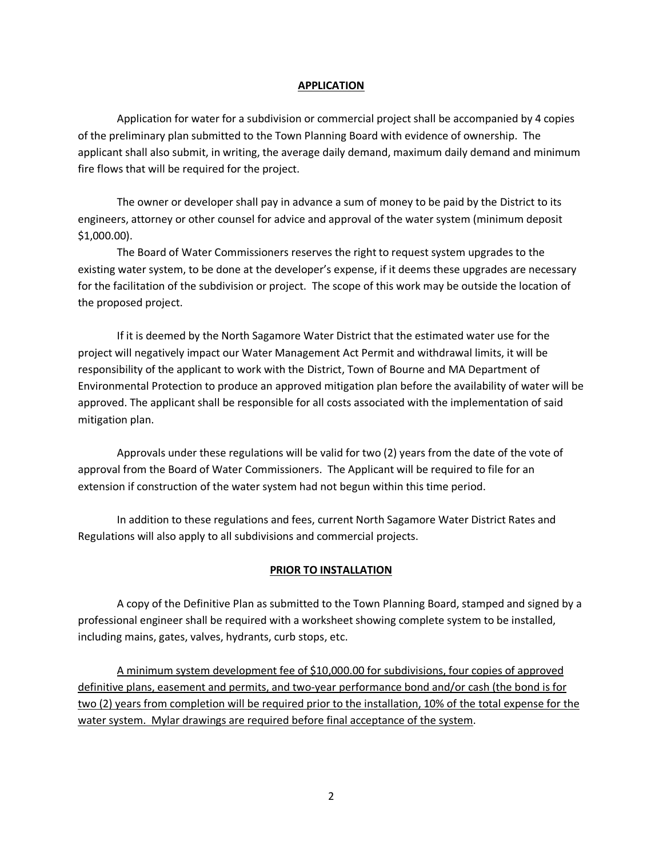#### **APPLICATION**

Application for water for a subdivision or commercial project shall be accompanied by 4 copies of the preliminary plan submitted to the Town Planning Board with evidence of ownership. The applicant shall also submit, in writing, the average daily demand, maximum daily demand and minimum fire flows that will be required for the project.

The owner or developer shall pay in advance a sum of money to be paid by the District to its engineers, attorney or other counsel for advice and approval of the water system (minimum deposit \$1,000.00).

The Board of Water Commissioners reserves the right to request system upgrades to the existing water system, to be done at the developer's expense, if it deems these upgrades are necessary for the facilitation of the subdivision or project. The scope of this work may be outside the location of the proposed project.

If it is deemed by the North Sagamore Water District that the estimated water use for the project will negatively impact our Water Management Act Permit and withdrawal limits, it will be responsibility of the applicant to work with the District, Town of Bourne and MA Department of Environmental Protection to produce an approved mitigation plan before the availability of water will be approved. The applicant shall be responsible for all costs associated with the implementation of said mitigation plan.

Approvals under these regulations will be valid for two (2) years from the date of the vote of approval from the Board of Water Commissioners. The Applicant will be required to file for an extension if construction of the water system had not begun within this time period.

In addition to these regulations and fees, current North Sagamore Water District Rates and Regulations will also apply to all subdivisions and commercial projects.

#### **PRIOR TO INSTALLATION**

A copy of the Definitive Plan as submitted to the Town Planning Board, stamped and signed by a professional engineer shall be required with a worksheet showing complete system to be installed, including mains, gates, valves, hydrants, curb stops, etc.

A minimum system development fee of \$10,000.00 for subdivisions, four copies of approved definitive plans, easement and permits, and two-year performance bond and/or cash (the bond is for two (2) years from completion will be required prior to the installation, 10% of the total expense for the water system. Mylar drawings are required before final acceptance of the system.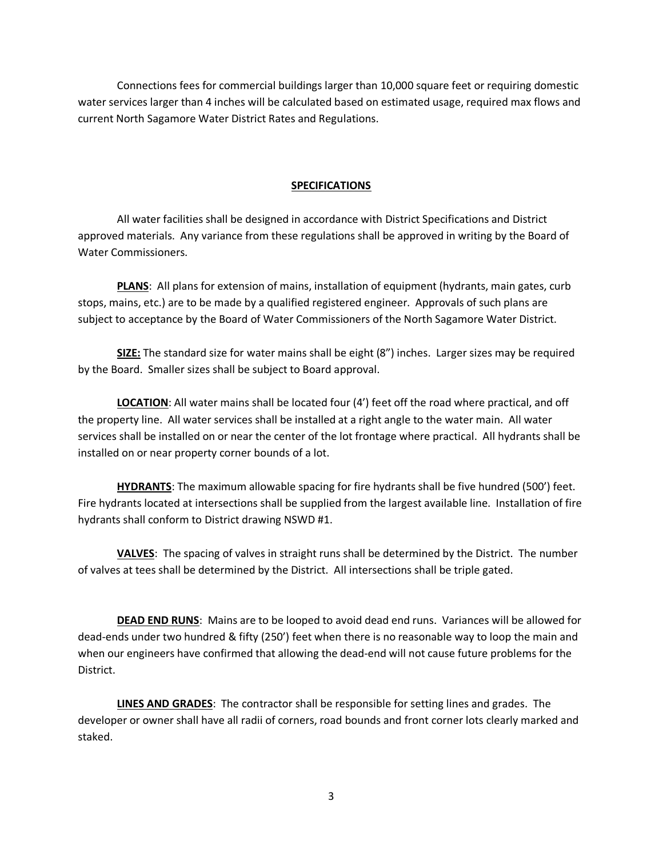Connections fees for commercial buildings larger than 10,000 square feet or requiring domestic water services larger than 4 inches will be calculated based on estimated usage, required max flows and current North Sagamore Water District Rates and Regulations.

#### **SPECIFICATIONS**

All water facilities shall be designed in accordance with District Specifications and District approved materials. Any variance from these regulations shall be approved in writing by the Board of Water Commissioners.

**PLANS**: All plans for extension of mains, installation of equipment (hydrants, main gates, curb stops, mains, etc.) are to be made by a qualified registered engineer. Approvals of such plans are subject to acceptance by the Board of Water Commissioners of the North Sagamore Water District.

**SIZE:** The standard size for water mains shall be eight (8") inches. Larger sizes may be required by the Board. Smaller sizes shall be subject to Board approval.

**LOCATION**: All water mains shall be located four (4') feet off the road where practical, and off the property line. All water services shall be installed at a right angle to the water main. All water services shall be installed on or near the center of the lot frontage where practical. All hydrants shall be installed on or near property corner bounds of a lot.

**HYDRANTS**: The maximum allowable spacing for fire hydrants shall be five hundred (500') feet. Fire hydrants located at intersections shall be supplied from the largest available line. Installation of fire hydrants shall conform to District drawing NSWD #1.

**VALVES**: The spacing of valves in straight runs shall be determined by the District. The number of valves at tees shall be determined by the District. All intersections shall be triple gated.

**DEAD END RUNS**: Mains are to be looped to avoid dead end runs. Variances will be allowed for dead-ends under two hundred & fifty (250') feet when there is no reasonable way to loop the main and when our engineers have confirmed that allowing the dead-end will not cause future problems for the District.

**LINES AND GRADES**: The contractor shall be responsible for setting lines and grades. The developer or owner shall have all radii of corners, road bounds and front corner lots clearly marked and staked.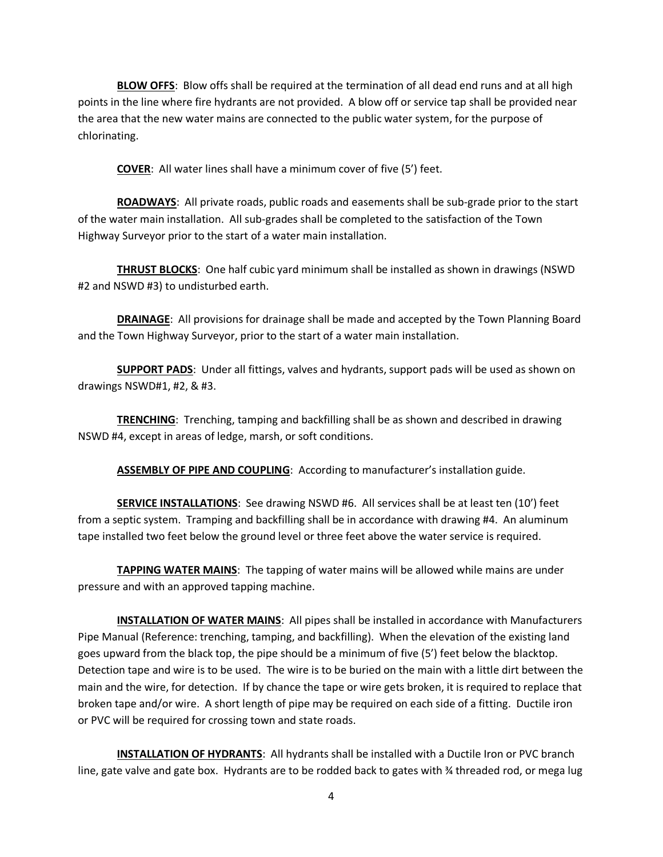**BLOW OFFS**: Blow offs shall be required at the termination of all dead end runs and at all high points in the line where fire hydrants are not provided. A blow off or service tap shall be provided near the area that the new water mains are connected to the public water system, for the purpose of chlorinating.

**COVER**: All water lines shall have a minimum cover of five (5') feet.

**ROADWAYS**: All private roads, public roads and easements shall be sub-grade prior to the start of the water main installation. All sub-grades shall be completed to the satisfaction of the Town Highway Surveyor prior to the start of a water main installation.

**THRUST BLOCKS**: One half cubic yard minimum shall be installed as shown in drawings (NSWD #2 and NSWD #3) to undisturbed earth.

**DRAINAGE**: All provisions for drainage shall be made and accepted by the Town Planning Board and the Town Highway Surveyor, prior to the start of a water main installation.

**SUPPORT PADS**: Under all fittings, valves and hydrants, support pads will be used as shown on drawings NSWD#1, #2, & #3.

**TRENCHING**: Trenching, tamping and backfilling shall be as shown and described in drawing NSWD #4, except in areas of ledge, marsh, or soft conditions.

**ASSEMBLY OF PIPE AND COUPLING**: According to manufacturer's installation guide.

**SERVICE INSTALLATIONS**: See drawing NSWD #6. All services shall be at least ten (10') feet from a septic system. Tramping and backfilling shall be in accordance with drawing #4. An aluminum tape installed two feet below the ground level or three feet above the water service is required.

**TAPPING WATER MAINS**: The tapping of water mains will be allowed while mains are under pressure and with an approved tapping machine.

**INSTALLATION OF WATER MAINS**: All pipes shall be installed in accordance with Manufacturers Pipe Manual (Reference: trenching, tamping, and backfilling). When the elevation of the existing land goes upward from the black top, the pipe should be a minimum of five (5') feet below the blacktop. Detection tape and wire is to be used. The wire is to be buried on the main with a little dirt between the main and the wire, for detection. If by chance the tape or wire gets broken, it is required to replace that broken tape and/or wire. A short length of pipe may be required on each side of a fitting. Ductile iron or PVC will be required for crossing town and state roads.

**INSTALLATION OF HYDRANTS**: All hydrants shall be installed with a Ductile Iron or PVC branch line, gate valve and gate box. Hydrants are to be rodded back to gates with ¾ threaded rod, or mega lug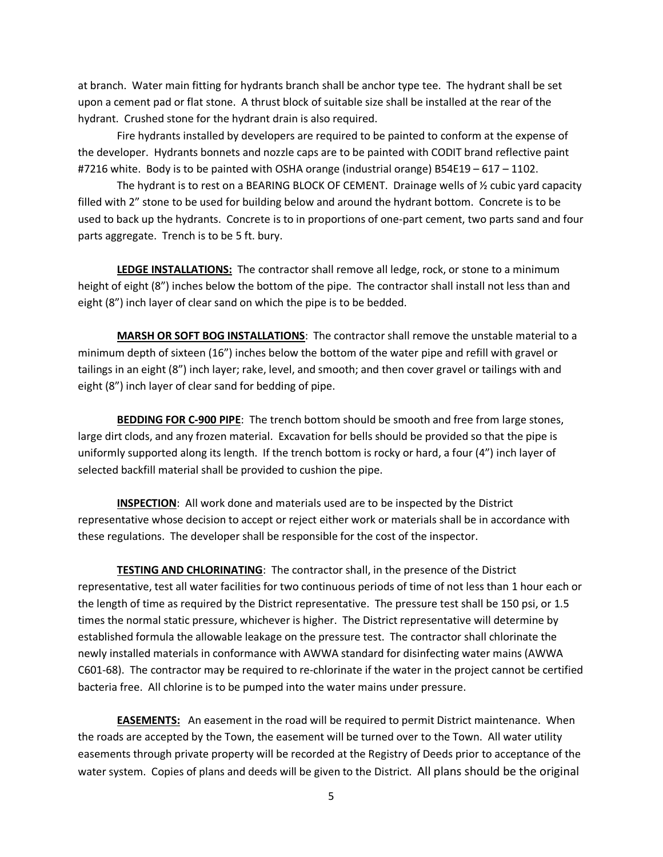at branch. Water main fitting for hydrants branch shall be anchor type tee. The hydrant shall be set upon a cement pad or flat stone. A thrust block of suitable size shall be installed at the rear of the hydrant. Crushed stone for the hydrant drain is also required.

Fire hydrants installed by developers are required to be painted to conform at the expense of the developer. Hydrants bonnets and nozzle caps are to be painted with CODIT brand reflective paint #7216 white. Body is to be painted with OSHA orange (industrial orange) B54E19 – 617 – 1102.

The hydrant is to rest on a BEARING BLOCK OF CEMENT. Drainage wells of  $\frac{1}{2}$  cubic yard capacity filled with 2" stone to be used for building below and around the hydrant bottom. Concrete is to be used to back up the hydrants. Concrete is to in proportions of one-part cement, two parts sand and four parts aggregate. Trench is to be 5 ft. bury.

**LEDGE INSTALLATIONS:** The contractor shall remove all ledge, rock, or stone to a minimum height of eight (8") inches below the bottom of the pipe. The contractor shall install not less than and eight (8") inch layer of clear sand on which the pipe is to be bedded.

**MARSH OR SOFT BOG INSTALLATIONS**: The contractor shall remove the unstable material to a minimum depth of sixteen (16") inches below the bottom of the water pipe and refill with gravel or tailings in an eight (8") inch layer; rake, level, and smooth; and then cover gravel or tailings with and eight (8") inch layer of clear sand for bedding of pipe.

**BEDDING FOR C-900 PIPE**: The trench bottom should be smooth and free from large stones, large dirt clods, and any frozen material. Excavation for bells should be provided so that the pipe is uniformly supported along its length. If the trench bottom is rocky or hard, a four (4") inch layer of selected backfill material shall be provided to cushion the pipe.

**INSPECTION**: All work done and materials used are to be inspected by the District representative whose decision to accept or reject either work or materials shall be in accordance with these regulations. The developer shall be responsible for the cost of the inspector.

**TESTING AND CHLORINATING**: The contractor shall, in the presence of the District representative, test all water facilities for two continuous periods of time of not less than 1 hour each or the length of time as required by the District representative. The pressure test shall be 150 psi, or 1.5 times the normal static pressure, whichever is higher. The District representative will determine by established formula the allowable leakage on the pressure test. The contractor shall chlorinate the newly installed materials in conformance with AWWA standard for disinfecting water mains (AWWA C601-68). The contractor may be required to re-chlorinate if the water in the project cannot be certified bacteria free. All chlorine is to be pumped into the water mains under pressure.

**EASEMENTS:** An easement in the road will be required to permit District maintenance. When the roads are accepted by the Town, the easement will be turned over to the Town. All water utility easements through private property will be recorded at the Registry of Deeds prior to acceptance of the water system. Copies of plans and deeds will be given to the District. All plans should be the original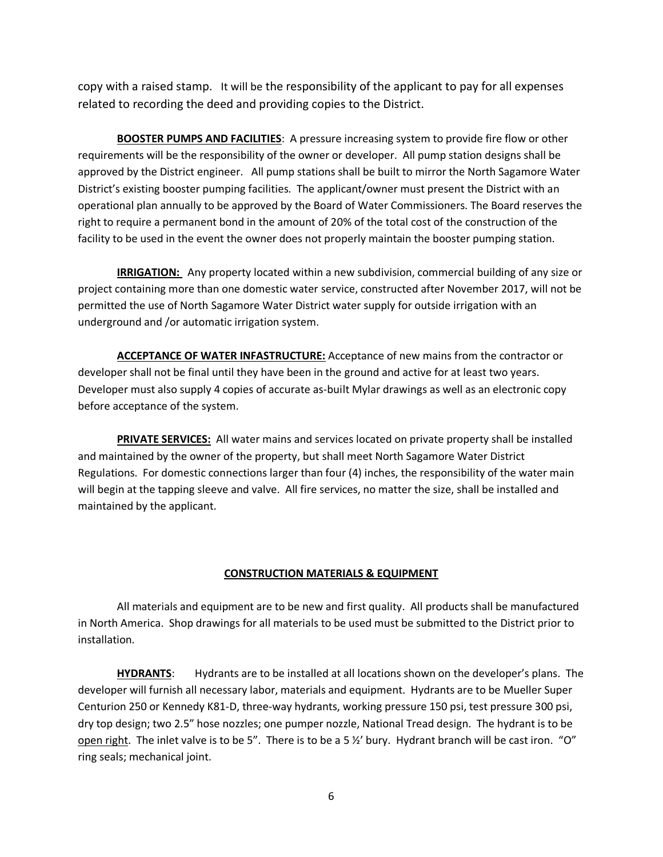copy with a raised stamp. It will be the responsibility of the applicant to pay for all expenses related to recording the deed and providing copies to the District.

**BOOSTER PUMPS AND FACILITIES**: A pressure increasing system to provide fire flow or other requirements will be the responsibility of the owner or developer. All pump station designs shall be approved by the District engineer. All pump stations shall be built to mirror the North Sagamore Water District's existing booster pumping facilities. The applicant/owner must present the District with an operational plan annually to be approved by the Board of Water Commissioners. The Board reserves the right to require a permanent bond in the amount of 20% of the total cost of the construction of the facility to be used in the event the owner does not properly maintain the booster pumping station.

**IRRIGATION:** Any property located within a new subdivision, commercial building of any size or project containing more than one domestic water service, constructed after November 2017, will not be permitted the use of North Sagamore Water District water supply for outside irrigation with an underground and /or automatic irrigation system.

**ACCEPTANCE OF WATER INFASTRUCTURE:** Acceptance of new mains from the contractor or developer shall not be final until they have been in the ground and active for at least two years. Developer must also supply 4 copies of accurate as-built Mylar drawings as well as an electronic copy before acceptance of the system.

**PRIVATE SERVICES:** All water mains and services located on private property shall be installed and maintained by the owner of the property, but shall meet North Sagamore Water District Regulations. For domestic connections larger than four (4) inches, the responsibility of the water main will begin at the tapping sleeve and valve. All fire services, no matter the size, shall be installed and maintained by the applicant.

#### **CONSTRUCTION MATERIALS & EQUIPMENT**

All materials and equipment are to be new and first quality. All products shall be manufactured in North America. Shop drawings for all materials to be used must be submitted to the District prior to installation.

**HYDRANTS**: Hydrants are to be installed at all locations shown on the developer's plans. The developer will furnish all necessary labor, materials and equipment. Hydrants are to be Mueller Super Centurion 250 or Kennedy K81-D, three-way hydrants, working pressure 150 psi, test pressure 300 psi, dry top design; two 2.5" hose nozzles; one pumper nozzle, National Tread design. The hydrant is to be open right. The inlet valve is to be 5". There is to be a 5 ½' bury. Hydrant branch will be cast iron. "O" ring seals; mechanical joint.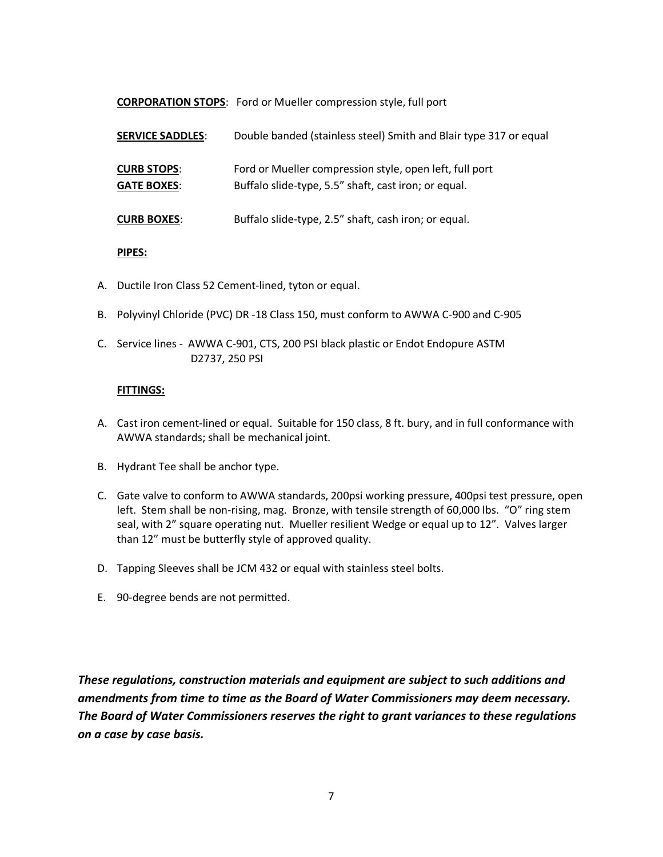**CORPORATION STOPS**: Ford or Mueller compression style, full port

| <b>SERVICE SADDLES:</b>                  | Double banded (stainless steel) Smith and Blair type 317 or equal                                               |  |
|------------------------------------------|-----------------------------------------------------------------------------------------------------------------|--|
| <b>CURB STOPS:</b><br><b>GATE BOXES:</b> | Ford or Mueller compression style, open left, full port<br>Buffalo slide-type, 5.5" shaft, cast iron; or equal. |  |
| <b>CURB BOXES:</b>                       | Buffalo slide-type, 2.5" shaft, cash iron; or equal.                                                            |  |

### **PIPES:**

- A. Ductile Iron Class 52 Cement-lined, tyton or equal.
- B. Polyvinyl Chloride (PVC) DR -18 Class 150, must conform to AWWA C-900 and C-905
- C. Service lines AWWA C-901, CTS, 200 PSI black plastic or Endot Endopure ASTM D2737, 250 PSI

### **FITTINGS:**

- A. Cast iron cement-lined or equal. Suitable for 150 class, 8 ft. bury, and in full conformance with AWWA standards; shall be mechanical joint.
- B. Hydrant Tee shall be anchor type.
- C. Gate valve to conform to AWWA standards, 200psi working pressure, 400psi test pressure, open left. Stem shall be non-rising, mag. Bronze, with tensile strength of 60,000 lbs. "O" ring stem seal, with 2" square operating nut. Mueller resilient Wedge or equal up to 12". Valves larger than 12" must be butterfly style of approved quality.
- D. Tapping Sleeves shall be JCM 432 or equal with stainless steel bolts.
- E. 90-degree bends are not permitted.

*These regulations, construction materials and equipment are subject to such additions and amendments from time to time as the Board of Water Commissioners may deem necessary. The Board of Water Commissioners reserves the right to grant variances to these regulations on a case by case basis.*